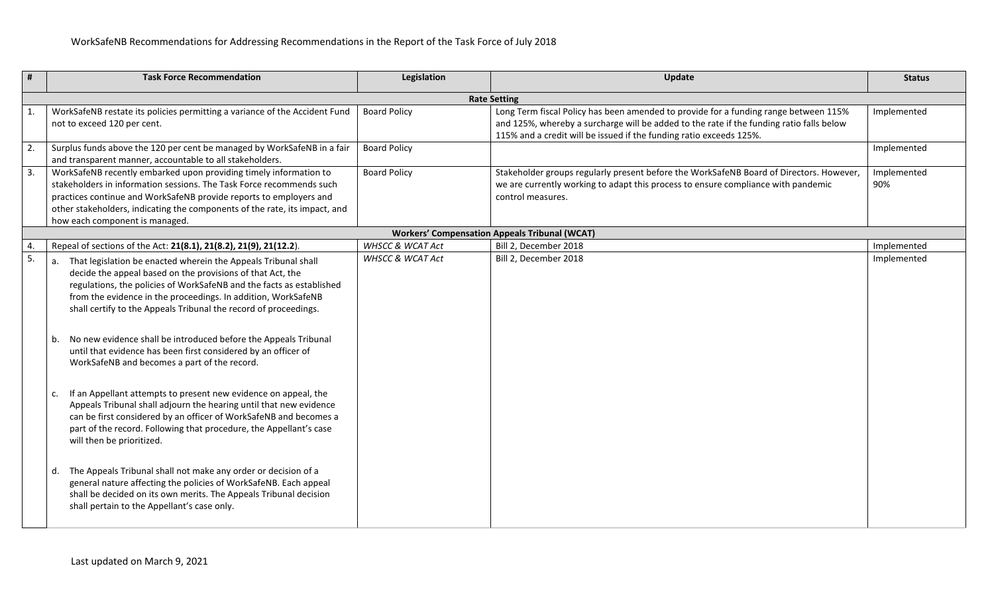| #                        | <b>Task Force Recommendation</b>                                                                                                                                                                                                                                                                                                                                                                                                                                                                                                                                                                                                                                                                                                                                                                                                                                                                                                                                                                                                                                                                                      | Legislation                 | Update                                                                                                                                                                                                                                                  | <b>Status</b>      |  |
|--------------------------|-----------------------------------------------------------------------------------------------------------------------------------------------------------------------------------------------------------------------------------------------------------------------------------------------------------------------------------------------------------------------------------------------------------------------------------------------------------------------------------------------------------------------------------------------------------------------------------------------------------------------------------------------------------------------------------------------------------------------------------------------------------------------------------------------------------------------------------------------------------------------------------------------------------------------------------------------------------------------------------------------------------------------------------------------------------------------------------------------------------------------|-----------------------------|---------------------------------------------------------------------------------------------------------------------------------------------------------------------------------------------------------------------------------------------------------|--------------------|--|
|                          | <b>Rate Setting</b>                                                                                                                                                                                                                                                                                                                                                                                                                                                                                                                                                                                                                                                                                                                                                                                                                                                                                                                                                                                                                                                                                                   |                             |                                                                                                                                                                                                                                                         |                    |  |
| $\mathbf{1}$             | WorkSafeNB restate its policies permitting a variance of the Accident Fund<br>not to exceed 120 per cent.                                                                                                                                                                                                                                                                                                                                                                                                                                                                                                                                                                                                                                                                                                                                                                                                                                                                                                                                                                                                             | <b>Board Policy</b>         | Long Term fiscal Policy has been amended to provide for a funding range between 115%<br>and 125%, whereby a surcharge will be added to the rate if the funding ratio falls below<br>115% and a credit will be issued if the funding ratio exceeds 125%. | Implemented        |  |
| $\overline{2}$ .         | Surplus funds above the 120 per cent be managed by WorkSafeNB in a fair<br>and transparent manner, accountable to all stakeholders.                                                                                                                                                                                                                                                                                                                                                                                                                                                                                                                                                                                                                                                                                                                                                                                                                                                                                                                                                                                   | <b>Board Policy</b>         |                                                                                                                                                                                                                                                         | Implemented        |  |
| $\overline{3}$ .         | WorkSafeNB recently embarked upon providing timely information to<br>stakeholders in information sessions. The Task Force recommends such<br>practices continue and WorkSafeNB provide reports to employers and<br>other stakeholders, indicating the components of the rate, its impact, and<br>how each component is managed.                                                                                                                                                                                                                                                                                                                                                                                                                                                                                                                                                                                                                                                                                                                                                                                       | <b>Board Policy</b>         | Stakeholder groups regularly present before the WorkSafeNB Board of Directors. However,<br>we are currently working to adapt this process to ensure compliance with pandemic<br>control measures.                                                       | Implemented<br>90% |  |
|                          |                                                                                                                                                                                                                                                                                                                                                                                                                                                                                                                                                                                                                                                                                                                                                                                                                                                                                                                                                                                                                                                                                                                       |                             | <b>Workers' Compensation Appeals Tribunal (WCAT)</b>                                                                                                                                                                                                    |                    |  |
| 4.                       | Repeal of sections of the Act: 21(8.1), 21(8.2), 21(9), 21(12.2).                                                                                                                                                                                                                                                                                                                                                                                                                                                                                                                                                                                                                                                                                                                                                                                                                                                                                                                                                                                                                                                     | <b>WHSCC &amp; WCAT Act</b> | Bill 2, December 2018                                                                                                                                                                                                                                   | Implemented        |  |
| $\overline{\phantom{a}}$ | That legislation be enacted wherein the Appeals Tribunal shall<br>decide the appeal based on the provisions of that Act, the<br>regulations, the policies of WorkSafeNB and the facts as established<br>from the evidence in the proceedings. In addition, WorkSafeNB<br>shall certify to the Appeals Tribunal the record of proceedings.<br>No new evidence shall be introduced before the Appeals Tribunal<br>until that evidence has been first considered by an officer of<br>WorkSafeNB and becomes a part of the record.<br>If an Appellant attempts to present new evidence on appeal, the<br>c.<br>Appeals Tribunal shall adjourn the hearing until that new evidence<br>can be first considered by an officer of WorkSafeNB and becomes a<br>part of the record. Following that procedure, the Appellant's case<br>will then be prioritized.<br>The Appeals Tribunal shall not make any order or decision of a<br>d.<br>general nature affecting the policies of WorkSafeNB. Each appeal<br>shall be decided on its own merits. The Appeals Tribunal decision<br>shall pertain to the Appellant's case only. | <b>WHSCC &amp; WCAT Act</b> | Bill 2, December 2018                                                                                                                                                                                                                                   | Implemented        |  |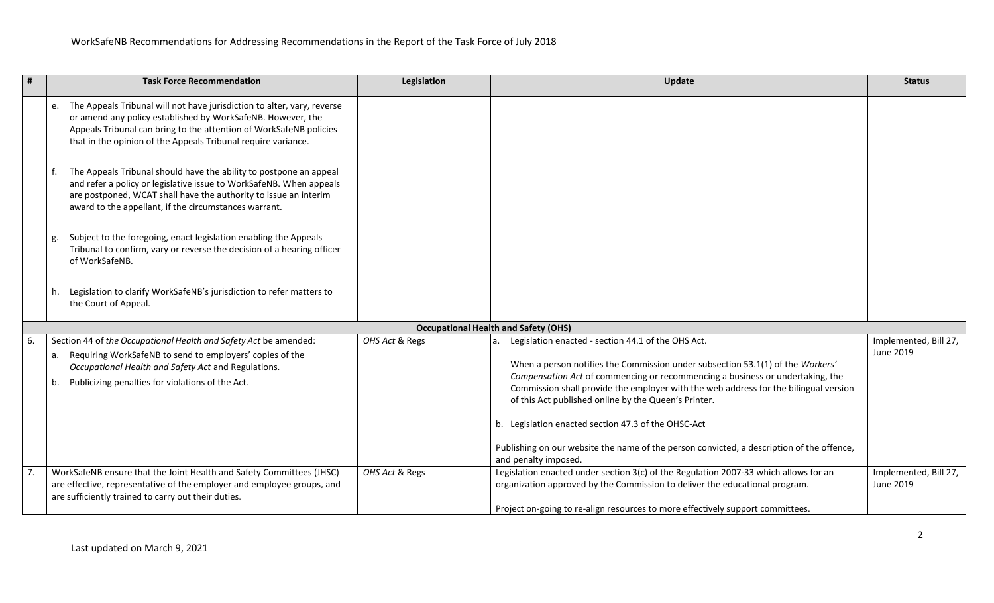| #                                           | <b>Task Force Recommendation</b>                                                                                                                                                                                                                                                    | Legislation    | Update                                                                                                                                                                                                                                                                                                                                                                                                                                                                                                                                                  | <b>Status</b>                      |
|---------------------------------------------|-------------------------------------------------------------------------------------------------------------------------------------------------------------------------------------------------------------------------------------------------------------------------------------|----------------|---------------------------------------------------------------------------------------------------------------------------------------------------------------------------------------------------------------------------------------------------------------------------------------------------------------------------------------------------------------------------------------------------------------------------------------------------------------------------------------------------------------------------------------------------------|------------------------------------|
|                                             | The Appeals Tribunal will not have jurisdiction to alter, vary, reverse<br>e.<br>or amend any policy established by WorkSafeNB. However, the<br>Appeals Tribunal can bring to the attention of WorkSafeNB policies<br>that in the opinion of the Appeals Tribunal require variance. |                |                                                                                                                                                                                                                                                                                                                                                                                                                                                                                                                                                         |                                    |
|                                             | The Appeals Tribunal should have the ability to postpone an appeal<br>f.<br>and refer a policy or legislative issue to WorkSafeNB. When appeals<br>are postponed, WCAT shall have the authority to issue an interim<br>award to the appellant, if the circumstances warrant.        |                |                                                                                                                                                                                                                                                                                                                                                                                                                                                                                                                                                         |                                    |
|                                             | Subject to the foregoing, enact legislation enabling the Appeals<br>g.<br>Tribunal to confirm, vary or reverse the decision of a hearing officer<br>of WorkSafeNB.                                                                                                                  |                |                                                                                                                                                                                                                                                                                                                                                                                                                                                                                                                                                         |                                    |
|                                             | Legislation to clarify WorkSafeNB's jurisdiction to refer matters to<br>h.<br>the Court of Appeal.                                                                                                                                                                                  |                |                                                                                                                                                                                                                                                                                                                                                                                                                                                                                                                                                         |                                    |
| <b>Occupational Health and Safety (OHS)</b> |                                                                                                                                                                                                                                                                                     |                |                                                                                                                                                                                                                                                                                                                                                                                                                                                                                                                                                         |                                    |
| 6.                                          | Section 44 of the Occupational Health and Safety Act be amended:<br>Requiring WorkSafeNB to send to employers' copies of the<br>а.<br>Occupational Health and Safety Act and Regulations.<br>Publicizing penalties for violations of the Act.<br>b.                                 | OHS Act & Regs | Legislation enacted - section 44.1 of the OHS Act.<br>a.<br>When a person notifies the Commission under subsection 53.1(1) of the Workers'<br>Compensation Act of commencing or recommencing a business or undertaking, the<br>Commission shall provide the employer with the web address for the bilingual version<br>of this Act published online by the Queen's Printer.<br>b. Legislation enacted section 47.3 of the OHSC-Act<br>Publishing on our website the name of the person convicted, a description of the offence,<br>and penalty imposed. | Implemented, Bill 27,<br>June 2019 |
|                                             | WorkSafeNB ensure that the Joint Health and Safety Committees (JHSC)<br>are effective, representative of the employer and employee groups, and<br>are sufficiently trained to carry out their duties.                                                                               | OHS Act & Regs | Legislation enacted under section 3(c) of the Regulation 2007-33 which allows for an<br>organization approved by the Commission to deliver the educational program.<br>Project on-going to re-align resources to more effectively support committees.                                                                                                                                                                                                                                                                                                   | Implemented, Bill 27,<br>June 2019 |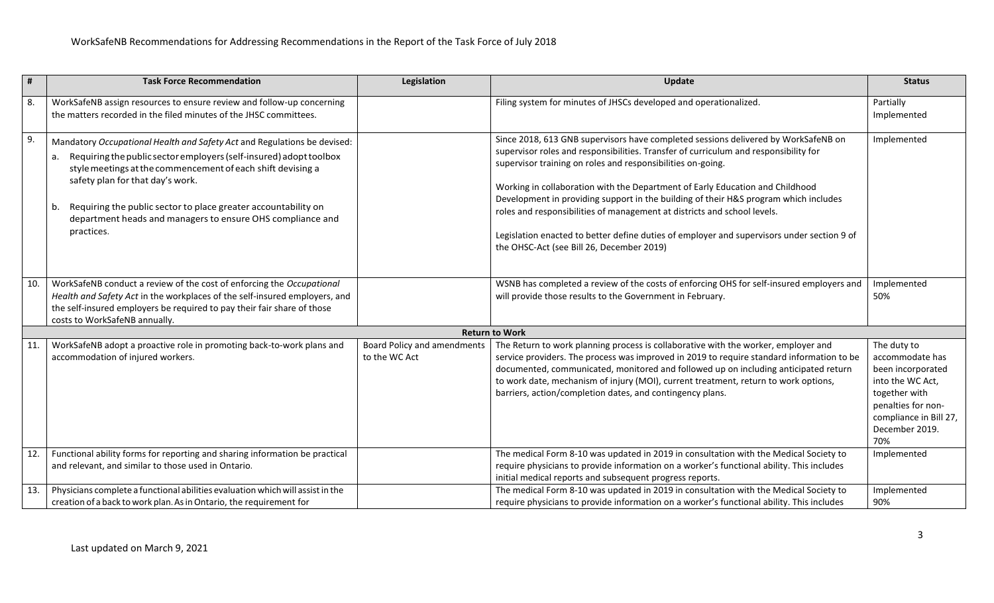| #   | <b>Task Force Recommendation</b>                                                                                                                                                                                                                                                                                                                                                                      | Legislation                                         | Update                                                                                                                                                                                                                                                                                                                                                                                                                                                                                                                                                                                                                                    | <b>Status</b>                                                                                                                                                     |
|-----|-------------------------------------------------------------------------------------------------------------------------------------------------------------------------------------------------------------------------------------------------------------------------------------------------------------------------------------------------------------------------------------------------------|-----------------------------------------------------|-------------------------------------------------------------------------------------------------------------------------------------------------------------------------------------------------------------------------------------------------------------------------------------------------------------------------------------------------------------------------------------------------------------------------------------------------------------------------------------------------------------------------------------------------------------------------------------------------------------------------------------------|-------------------------------------------------------------------------------------------------------------------------------------------------------------------|
| 8.  | WorkSafeNB assign resources to ensure review and follow-up concerning<br>the matters recorded in the filed minutes of the JHSC committees.                                                                                                                                                                                                                                                            |                                                     | Filing system for minutes of JHSCs developed and operationalized.                                                                                                                                                                                                                                                                                                                                                                                                                                                                                                                                                                         | Partially<br>Implemented                                                                                                                                          |
| 9.  | Mandatory Occupational Health and Safety Act and Regulations be devised:<br>a. Requiring the public sector employers (self-insured) adopt toolbox<br>style meetings at the commencement of each shift devising a<br>safety plan for that day's work.<br>b. Requiring the public sector to place greater accountability on<br>department heads and managers to ensure OHS compliance and<br>practices. |                                                     | Since 2018, 613 GNB supervisors have completed sessions delivered by WorkSafeNB on<br>supervisor roles and responsibilities. Transfer of curriculum and responsibility for<br>supervisor training on roles and responsibilities on-going.<br>Working in collaboration with the Department of Early Education and Childhood<br>Development in providing support in the building of their H&S program which includes<br>roles and responsibilities of management at districts and school levels.<br>Legislation enacted to better define duties of employer and supervisors under section 9 of<br>the OHSC-Act (see Bill 26, December 2019) | Implemented                                                                                                                                                       |
| 10. | WorkSafeNB conduct a review of the cost of enforcing the Occupational<br>Health and Safety Act in the workplaces of the self-insured employers, and<br>the self-insured employers be required to pay their fair share of those<br>costs to WorkSafeNB annually.                                                                                                                                       |                                                     | WSNB has completed a review of the costs of enforcing OHS for self-insured employers and<br>will provide those results to the Government in February.                                                                                                                                                                                                                                                                                                                                                                                                                                                                                     | Implemented<br>50%                                                                                                                                                |
|     |                                                                                                                                                                                                                                                                                                                                                                                                       |                                                     | <b>Return to Work</b>                                                                                                                                                                                                                                                                                                                                                                                                                                                                                                                                                                                                                     |                                                                                                                                                                   |
| 11. | WorkSafeNB adopt a proactive role in promoting back-to-work plans and<br>accommodation of injured workers.                                                                                                                                                                                                                                                                                            | <b>Board Policy and amendments</b><br>to the WC Act | The Return to work planning process is collaborative with the worker, employer and<br>service providers. The process was improved in 2019 to require standard information to be<br>documented, communicated, monitored and followed up on including anticipated return<br>to work date, mechanism of injury (MOI), current treatment, return to work options,<br>barriers, action/completion dates, and contingency plans.                                                                                                                                                                                                                | The duty to<br>accommodate has<br>been incorporated<br>into the WC Act,<br>together with<br>penalties for non-<br>compliance in Bill 27,<br>December 2019.<br>70% |
| 12. | Functional ability forms for reporting and sharing information be practical<br>and relevant, and similar to those used in Ontario.                                                                                                                                                                                                                                                                    |                                                     | The medical Form 8-10 was updated in 2019 in consultation with the Medical Society to<br>require physicians to provide information on a worker's functional ability. This includes<br>initial medical reports and subsequent progress reports.                                                                                                                                                                                                                                                                                                                                                                                            | Implemented                                                                                                                                                       |
| 13. | Physicians complete a functional abilities evaluation which will assist in the<br>creation of a back to work plan. As in Ontario, the requirement for                                                                                                                                                                                                                                                 |                                                     | The medical Form 8-10 was updated in 2019 in consultation with the Medical Society to<br>require physicians to provide information on a worker's functional ability. This includes                                                                                                                                                                                                                                                                                                                                                                                                                                                        | Implemented<br>90%                                                                                                                                                |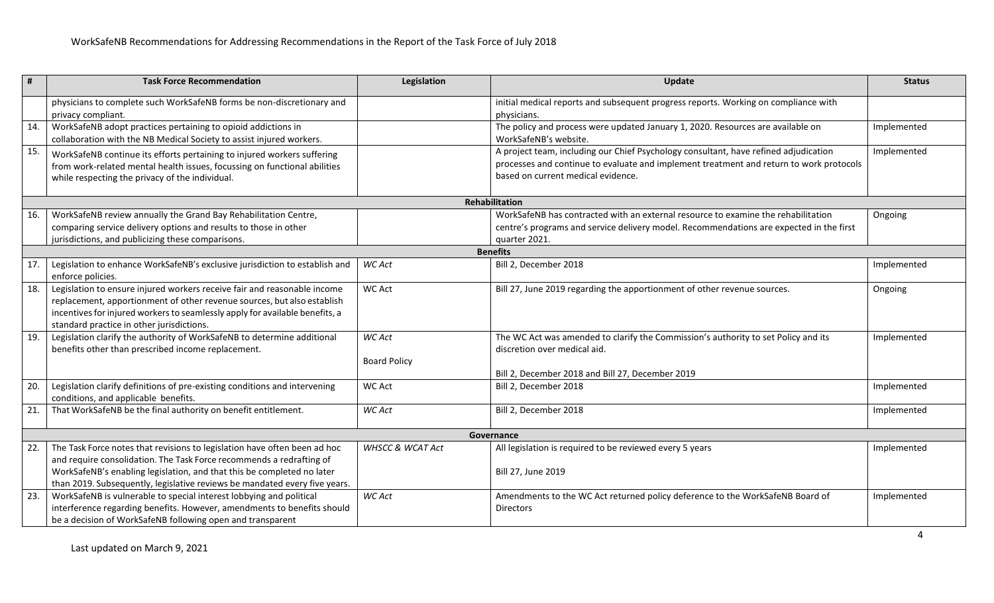| #   | <b>Task Force Recommendation</b>                                                                                                                                                                                                                                                                          | Legislation                   | Update                                                                                                                                                                                                                | <b>Status</b> |  |  |
|-----|-----------------------------------------------------------------------------------------------------------------------------------------------------------------------------------------------------------------------------------------------------------------------------------------------------------|-------------------------------|-----------------------------------------------------------------------------------------------------------------------------------------------------------------------------------------------------------------------|---------------|--|--|
|     | physicians to complete such WorkSafeNB forms be non-discretionary and<br>privacy compliant.                                                                                                                                                                                                               |                               | initial medical reports and subsequent progress reports. Working on compliance with<br>physicians.                                                                                                                    |               |  |  |
| 14. | WorkSafeNB adopt practices pertaining to opioid addictions in<br>collaboration with the NB Medical Society to assist injured workers.                                                                                                                                                                     |                               | The policy and process were updated January 1, 2020. Resources are available on<br>WorkSafeNB's website.                                                                                                              | Implemented   |  |  |
| 15. | WorkSafeNB continue its efforts pertaining to injured workers suffering<br>from work-related mental health issues, focussing on functional abilities<br>while respecting the privacy of the individual.                                                                                                   |                               | A project team, including our Chief Psychology consultant, have refined adjudication<br>processes and continue to evaluate and implement treatment and return to work protocols<br>based on current medical evidence. | Implemented   |  |  |
|     |                                                                                                                                                                                                                                                                                                           |                               | Rehabilitation                                                                                                                                                                                                        |               |  |  |
| 16. | WorkSafeNB review annually the Grand Bay Rehabilitation Centre,<br>comparing service delivery options and results to those in other<br>jurisdictions, and publicizing these comparisons.                                                                                                                  |                               | WorkSafeNB has contracted with an external resource to examine the rehabilitation<br>centre's programs and service delivery model. Recommendations are expected in the first<br>quarter 2021.                         | Ongoing       |  |  |
|     | <b>Benefits</b>                                                                                                                                                                                                                                                                                           |                               |                                                                                                                                                                                                                       |               |  |  |
| 17. | Legislation to enhance WorkSafeNB's exclusive jurisdiction to establish and<br>enforce policies.                                                                                                                                                                                                          | WC Act                        | Bill 2, December 2018                                                                                                                                                                                                 | Implemented   |  |  |
| 18. | Legislation to ensure injured workers receive fair and reasonable income<br>replacement, apportionment of other revenue sources, but also establish<br>incentives for injured workers to seamlessly apply for available benefits, a<br>standard practice in other jurisdictions.                          | <b>WC Act</b>                 | Bill 27, June 2019 regarding the apportionment of other revenue sources.                                                                                                                                              | Ongoing       |  |  |
| 19. | Legislation clarify the authority of WorkSafeNB to determine additional<br>benefits other than prescribed income replacement.                                                                                                                                                                             | WC Act<br><b>Board Policy</b> | The WC Act was amended to clarify the Commission's authority to set Policy and its<br>discretion over medical aid.<br>Bill 2, December 2018 and Bill 27, December 2019                                                | Implemented   |  |  |
| 20. | Legislation clarify definitions of pre-existing conditions and intervening<br>conditions, and applicable benefits.                                                                                                                                                                                        | <b>WC Act</b>                 | Bill 2, December 2018                                                                                                                                                                                                 | Implemented   |  |  |
| 21. | That WorkSafeNB be the final authority on benefit entitlement.                                                                                                                                                                                                                                            | <b>WC Act</b>                 | Bill 2, December 2018                                                                                                                                                                                                 | Implemented   |  |  |
|     | Governance                                                                                                                                                                                                                                                                                                |                               |                                                                                                                                                                                                                       |               |  |  |
| 22. | The Task Force notes that revisions to legislation have often been ad hoc<br>and require consolidation. The Task Force recommends a redrafting of<br>WorkSafeNB's enabling legislation, and that this be completed no later<br>than 2019. Subsequently, legislative reviews be mandated every five years. | <b>WHSCC &amp; WCAT Act</b>   | All legislation is required to be reviewed every 5 years<br>Bill 27, June 2019                                                                                                                                        | Implemented   |  |  |
| 23. | WorkSafeNB is vulnerable to special interest lobbying and political<br>interference regarding benefits. However, amendments to benefits should<br>be a decision of WorkSafeNB following open and transparent                                                                                              | WC Act                        | Amendments to the WC Act returned policy deference to the WorkSafeNB Board of<br><b>Directors</b>                                                                                                                     | Implemented   |  |  |